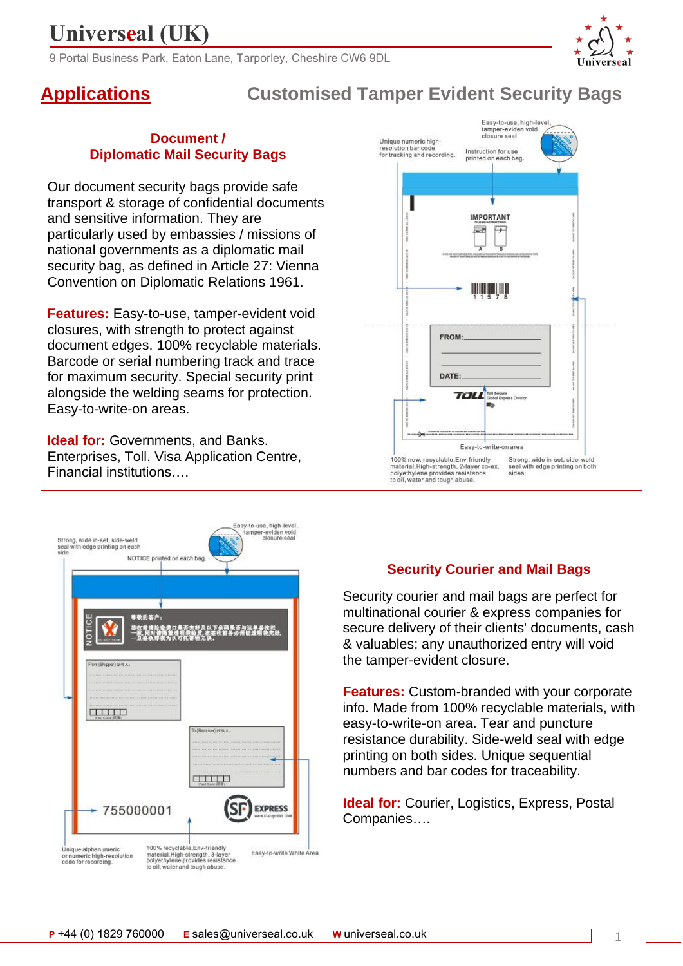9 Portal Business Park, Eaton Lane, Tarporley, Cheshire CW6 9DL

### **Applications Customised Tamper Evident Security Bags**

#### **Document / Diplomatic Mail Security Bags**

Our document security bags provide safe transport & storage of confidential documents and sensitive information. They are particularly used by embassies / missions of national governments as a diplomatic mail security bag, as defined in Article 27: Vienna Convention on Diplomatic Relations 1961.

**Features:** Easy-to-use, tamper-evident void closures, with strength to protect against document edges. 100% recyclable materials. Barcode or serial numbering track and trace for maximum security. Special security print alongside the welding seams for protection. Easy-to-write-on areas.

**Ideal for:** Governments, and Banks. Enterprises, Toll. Visa Application Centre, Financial institutions….





### **Security Courier and Mail Bags**

Security courier and mail bags are perfect for multinational courier & express companies for secure delivery of their clients' documents, cash & valuables; any unauthorized entry will void the tamper-evident closure.

**Features:** Custom-branded with your corporate info. Made from 100% recyclable materials, with easy-to-write-on area. Tear and puncture resistance durability. Side-weld seal with edge printing on both sides. Unique sequential numbers and bar codes for traceability.

**Ideal for:** Courier, Logistics, Express, Postal Companies….

1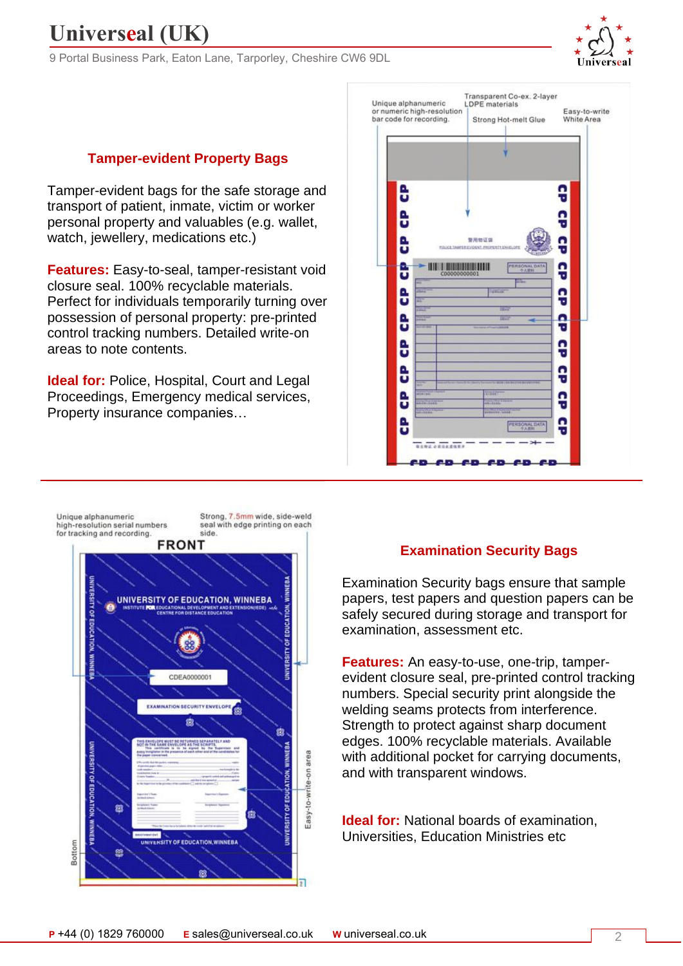9 Portal Business Park, Eaton Lane, Tarporley, Cheshire CW6 9DL



#### **Tamper-evident Property Bags**

Tamper-evident bags for the safe storage and transport of patient, inmate, victim or worker personal property and valuables (e.g. wallet, watch, jewellery, medications etc.)

**Features:** Easy-to-seal, tamper-resistant void closure seal. 100% recyclable materials. Perfect for individuals temporarily turning over possession of personal property: pre-printed control tracking numbers. Detailed write-on areas to note contents.

**Ideal for:** Police, Hospital, Court and Legal Proceedings, Emergency medical services, Property insurance companies…





#### **Examination Security Bags**

Examination Security bags ensure that sample papers, test papers and question papers can be safely secured during storage and transport for examination, assessment etc.

**Features:** An easy-to-use, one-trip, tamperevident closure seal, pre-printed control tracking numbers. Special security print alongside the welding seams protects from interference. Strength to protect against sharp document edges. 100% recyclable materials. Available with additional pocket for carrying documents, and with transparent windows.

**Ideal for:** National boards of examination, Universities, Education Ministries etc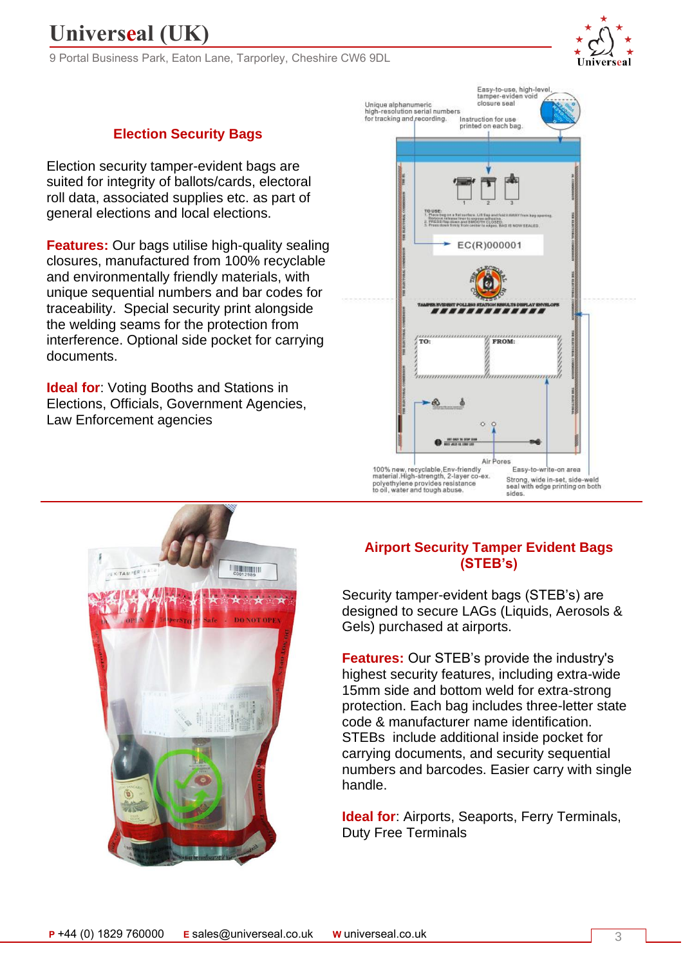9 Portal Business Park, Eaton Lane, Tarporley, Cheshire CW6 9DL



### **Election Security Bags**

Election security tamper-evident bags are suited for integrity of ballots/cards, electoral roll data, associated supplies etc. as part of general elections and local elections.

**Features:** Our bags utilise high-quality sealing closures, manufactured from 100% recyclable and environmentally friendly materials, with unique sequential numbers and bar codes for traceability. Special security print alongside the welding seams for the protection from interference. Optional side pocket for carrying documents.

**Ideal for:** Voting Booths and Stations in Elections, Officials, Government Agencies, Law Enforcement agencies





### **Airport Security Tamper Evident Bags (STEB's)**

Security tamper-evident bags (STEB's) are designed to secure LAGs (Liquids, Aerosols & Gels) purchased at airports.

**Features:** Our STEB's provide the industry's highest security features, including extra-wide 15mm side and bottom weld for extra-strong protection. Each bag includes three-letter state code & manufacturer name identification. STEBs include additional inside pocket for carrying documents, and security sequential numbers and barcodes. Easier carry with single handle.

**Ideal for**: Airports, Seaports, Ferry Terminals, Duty Free Terminals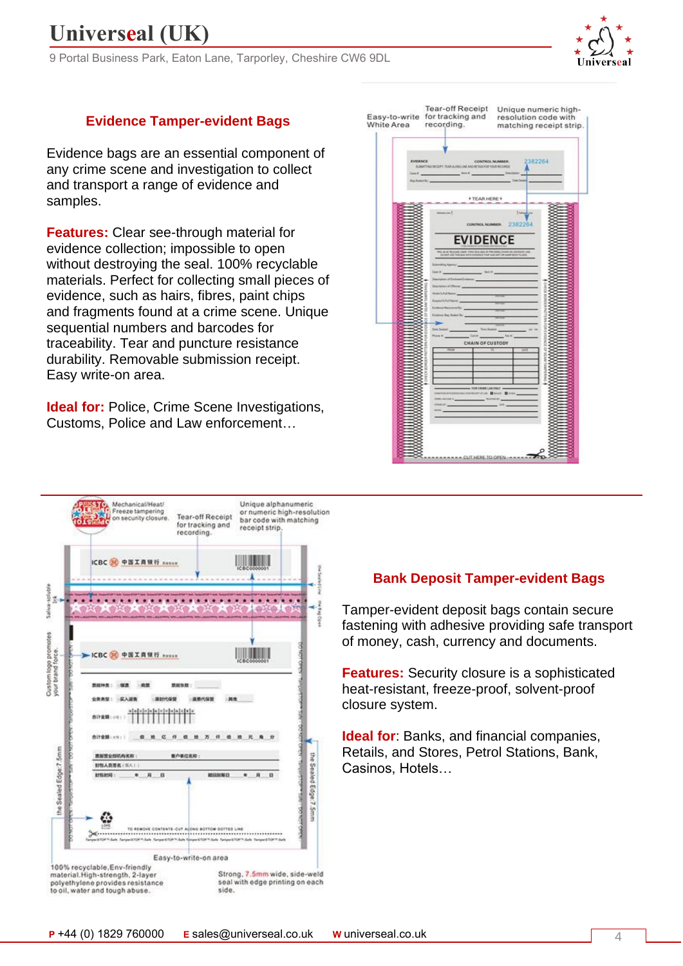9 Portal Business Park, Eaton Lane, Tarporley, Cheshire CW6 9DL



### **Evidence Tamper-evident Bags**

Evidence bags are an essential component of any crime scene and investigation to collect and transport a range of evidence and samples.

**Features:** Clear see-through material for evidence collection; impossible to open without destroying the seal. 100% recyclable materials. Perfect for collecting small pieces of evidence, such as hairs, fibres, paint chips and fragments found at a crime scene. Unique sequential numbers and barcodes for traceability. Tear and puncture resistance durability. Removable submission receipt. Easy write-on area.

**Ideal for: Police, Crime Scene Investigations,** Customs, Police and Law enforcement…

| White Area                                  | <b>Tear-off Receipt</b><br>Unique numeric high-<br>Easy-to-write for tracking and resolution code with<br>recording.<br>matching receipt strip.                                                                                                                                                                                                                                          |
|---------------------------------------------|------------------------------------------------------------------------------------------------------------------------------------------------------------------------------------------------------------------------------------------------------------------------------------------------------------------------------------------------------------------------------------------|
| <b>EVIDENCE</b><br>Cass #<br>but former the | 2382264<br>CONTROL NUMBER:<br>SUBJETING RECEPT TEAR ALTHOUGH AND RETAIN FOR YOUR RECORDS.                                                                                                                                                                                                                                                                                                |
|                                             | <b>+TEARHERE+</b><br>t inner<br>an 1                                                                                                                                                                                                                                                                                                                                                     |
|                                             | 2382264<br>CONTROL NUMBER.<br><b>EVIDENCE</b><br>TO ROAD WILSON CANDO THE SAN AND THE SAN COMPANY OF ADDRESS CAN SERVE CAN AND THE CANDO THE CANDO AND INVESTIGATION<br><b>Ring Agency</b> (Committee)<br>on at Exchange Ends<br>an of Director<br>c'è fut favore :<br>in Recovered Bull<br><b>AAAA</b><br>European Bag Shaked By<br>face feature.<br><b>Their Seconds</b><br>$-$ Cut at |
|                                             | <b>CHAIN OF CUSTODY</b><br>ğ<br>g<br><b>Disc</b><br><b>AN POST COURSE LASE COALT</b><br><b>CONSTRUCTION CONTROLS CONTROL</b><br><b>MORE COMPANY</b>                                                                                                                                                                                                                                      |



### **Bank Deposit Tamper-evident Bags**

Tamper-evident deposit bags contain secure fastening with adhesive providing safe transport of money, cash, currency and documents.

**Features:** Security closure is a sophisticated heat-resistant, freeze-proof, solvent-proof closure system.

**Ideal for**: Banks, and financial companies, Retails, and Stores, Petrol Stations, Bank, Casinos, Hotels…